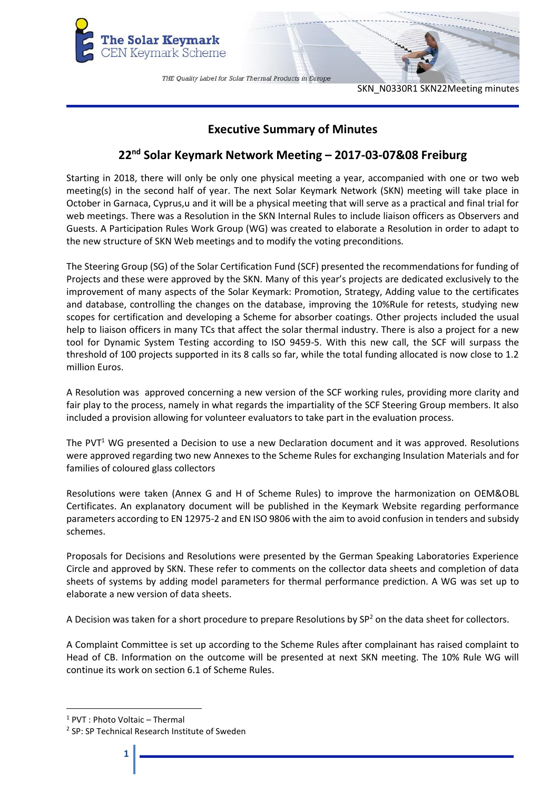

SKN\_N0330R1 SKN22Meeting minutes

# **Executive Summary of Minutes**

# **22nd Solar Keymark Network Meeting – 2017-03-07&08 Freiburg**

Starting in 2018, there will only be only one physical meeting a year, accompanied with one or two web meeting(s) in the second half of year. The next Solar Keymark Network (SKN) meeting will take place in October in Garnaca, Cyprus,u and it will be a physical meeting that will serve as a practical and final trial for web meetings. There was a Resolution in the SKN Internal Rules to include liaison officers as Observers and Guests. A Participation Rules Work Group (WG) was created to elaborate a Resolution in order to adapt to the new structure of SKN Web meetings and to modify the voting preconditions.

The Steering Group (SG) of the Solar Certification Fund (SCF) presented the recommendations for funding of Projects and these were approved by the SKN. Many of this year's projects are dedicated exclusively to the improvement of many aspects of the Solar Keymark: Promotion, Strategy, Adding value to the certificates and database, controlling the changes on the database, improving the 10%Rule for retests, studying new scopes for certification and developing a Scheme for absorber coatings. Other projects included the usual help to liaison officers in many TCs that affect the solar thermal industry. There is also a project for a new tool for Dynamic System Testing according to ISO 9459-5. With this new call, the SCF will surpass the threshold of 100 projects supported in its 8 calls so far, while the total funding allocated is now close to 1.2 million Euros.

A Resolution was approved concerning a new version of the SCF working rules, providing more clarity and fair play to the process, namely in what regards the impartiality of the SCF Steering Group members. It also included a provision allowing for volunteer evaluators to take part in the evaluation process.

The PVT<sup>1</sup> WG presented a Decision to use a new Declaration document and it was approved. Resolutions were approved regarding two new Annexes to the Scheme Rules for exchanging Insulation Materials and for families of coloured glass collectors

Resolutions were taken (Annex G and H of Scheme Rules) to improve the harmonization on OEM&OBL Certificates. An explanatory document will be published in the Keymark Website regarding performance parameters according to EN 12975-2 and EN ISO 9806 with the aim to avoid confusion in tenders and subsidy schemes.

Proposals for Decisions and Resolutions were presented by the German Speaking Laboratories Experience Circle and approved by SKN. These refer to comments on the collector data sheets and completion of data sheets of systems by adding model parameters for thermal performance prediction. A WG was set up to elaborate a new version of data sheets.

A Decision was taken for a short procedure to prepare Resolutions by  $SP<sup>2</sup>$  on the data sheet for collectors.

A Complaint Committee is set up according to the Scheme Rules after complainant has raised complaint to Head of CB. Information on the outcome will be presented at next SKN meeting. The 10% Rule WG will continue its work on section 6.1 of Scheme Rules.

**.** 

<sup>1</sup> PVT : Photo Voltaic – Thermal

<sup>&</sup>lt;sup>2</sup> SP: SP Technical Research Institute of Sweden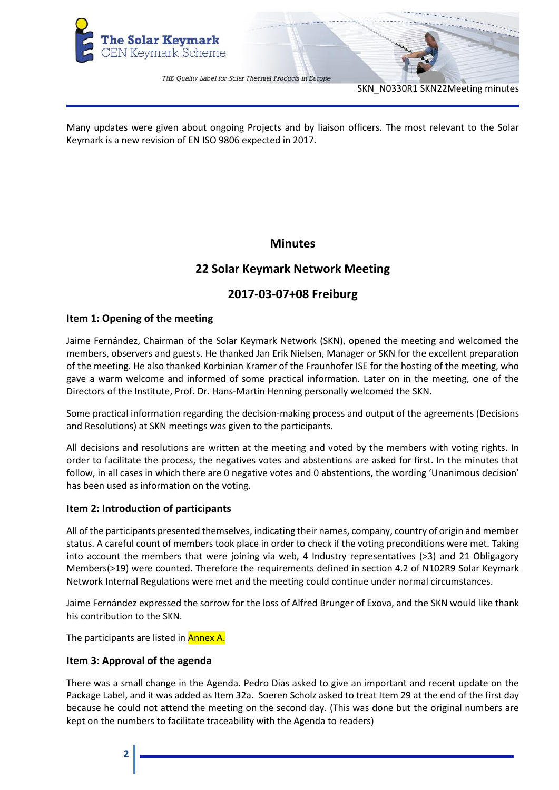

SKN\_N0330R1 SKN22Meeting minutes

Many updates were given about ongoing Projects and by liaison officers. The most relevant to the Solar Keymark is a new revision of EN ISO 9806 expected in 2017.

# **Minutes**

# **22 Solar Keymark Network Meeting**

# **2017-03-07+08 Freiburg**

# **Item 1: Opening of the meeting**

Jaime Fernández, Chairman of the Solar Keymark Network (SKN), opened the meeting and welcomed the members, observers and guests. He thanked Jan Erik Nielsen, Manager or SKN for the excellent preparation of the meeting. He also thanked Korbinian Kramer of the Fraunhofer ISE for the hosting of the meeting, who gave a warm welcome and informed of some practical information. Later on in the meeting, one of the Directors of the Institute, Prof. Dr. Hans-Martin Henning personally welcomed the SKN.

Some practical information regarding the decision-making process and output of the agreements (Decisions and Resolutions) at SKN meetings was given to the participants.

All decisions and resolutions are written at the meeting and voted by the members with voting rights. In order to facilitate the process, the negatives votes and abstentions are asked for first. In the minutes that follow, in all cases in which there are 0 negative votes and 0 abstentions, the wording 'Unanimous decision' has been used as information on the voting.

# **Item 2: Introduction of participants**

All of the participants presented themselves, indicating their names, company, country of origin and member status. A careful count of members took place in order to check if the voting preconditions were met. Taking into account the members that were joining via web, 4 Industry representatives (>3) and 21 Obligagory Members(>19) were counted. Therefore the requirements defined in section 4.2 of N102R9 Solar Keymark Network Internal Regulations were met and the meeting could continue under normal circumstances.

Jaime Fernández expressed the sorrow for the loss of Alfred Brunger of Exova, and the SKN would like thank his contribution to the SKN.

The participants are listed in **Annex A.** 

# **Item 3: Approval of the agenda**

There was a small change in the Agenda. Pedro Dias asked to give an important and recent update on the Package Label, and it was added as Item 32a. Soeren Scholz asked to treat Item 29 at the end of the first day because he could not attend the meeting on the second day. (This was done but the original numbers are kept on the numbers to facilitate traceability with the Agenda to readers)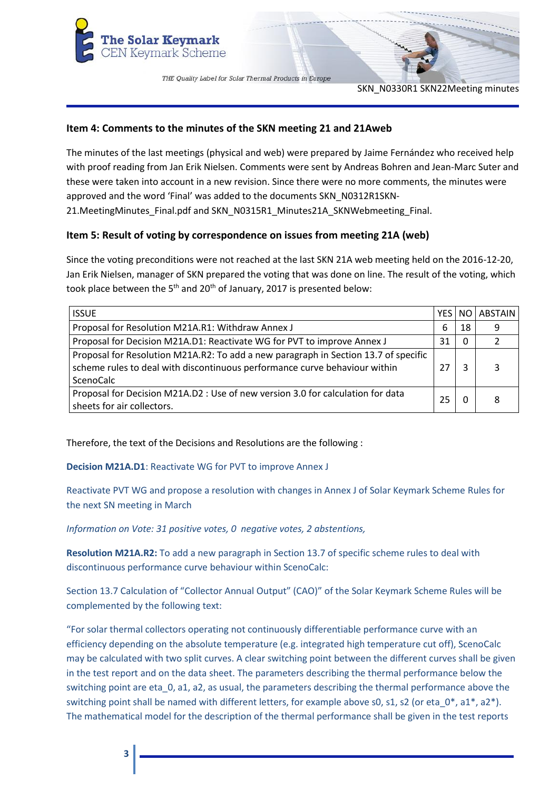

SKN\_N0330R1 SKN22Meeting minutes

# **Item 4: Comments to the minutes of the SKN meeting 21 and 21Aweb**

The minutes of the last meetings (physical and web) were prepared by Jaime Fernández who received help with proof reading from Jan Erik Nielsen. Comments were sent by Andreas Bohren and Jean-Marc Suter and these were taken into account in a new revision. Since there were no more comments, the minutes were approved and the word 'Final' was added to the documents SKN\_N0312R1SKN-21.MeetingMinutes\_Final.pdf and SKN\_N0315R1\_Minutes21A\_SKNWebmeeting\_Final.

# **Item 5: Result of voting by correspondence on issues from meeting 21A (web)**

Since the voting preconditions were not reached at the last SKN 21A web meeting held on the 2016-12-20, Jan Erik Nielsen, manager of SKN prepared the voting that was done on line. The result of the voting, which took place between the  $5<sup>th</sup>$  and 20<sup>th</sup> of January, 2017 is presented below:

| <b>ISSUE</b>                                                                                                                                                                   | YES. |    | NO ABSTAIN    |
|--------------------------------------------------------------------------------------------------------------------------------------------------------------------------------|------|----|---------------|
| Proposal for Resolution M21A.R1: Withdraw Annex J                                                                                                                              | 6    | 18 | 9             |
| Proposal for Decision M21A.D1: Reactivate WG for PVT to improve Annex J                                                                                                        | 31   | 0  | $\mathcal{P}$ |
| Proposal for Resolution M21A.R2: To add a new paragraph in Section 13.7 of specific<br>scheme rules to deal with discontinuous performance curve behaviour within<br>ScenoCalc | 27   | 3  | 3             |
| Proposal for Decision M21A.D2 : Use of new version 3.0 for calculation for data<br>sheets for air collectors.                                                                  | 25   |    | 8             |

Therefore, the text of the Decisions and Resolutions are the following :

**Decision M21A.D1**: Reactivate WG for PVT to improve Annex J

Reactivate PVT WG and propose a resolution with changes in Annex J of Solar Keymark Scheme Rules for the next SN meeting in March

*Information on Vote: 31 positive votes, 0 negative votes, 2 abstentions,*

**Resolution M21A.R2:** To add a new paragraph in Section 13.7 of specific scheme rules to deal with discontinuous performance curve behaviour within ScenoCalc:

Section 13.7 Calculation of "Collector Annual Output" (CAO)" of the Solar Keymark Scheme Rules will be complemented by the following text:

"For solar thermal collectors operating not continuously differentiable performance curve with an efficiency depending on the absolute temperature (e.g. integrated high temperature cut off), ScenoCalc may be calculated with two split curves. A clear switching point between the different curves shall be given in the test report and on the data sheet. The parameters describing the thermal performance below the switching point are eta 0, a1, a2, as usual, the parameters describing the thermal performance above the switching point shall be named with different letters, for example above s0, s1, s2 (or eta 0\*, a1\*, a2\*). The mathematical model for the description of the thermal performance shall be given in the test reports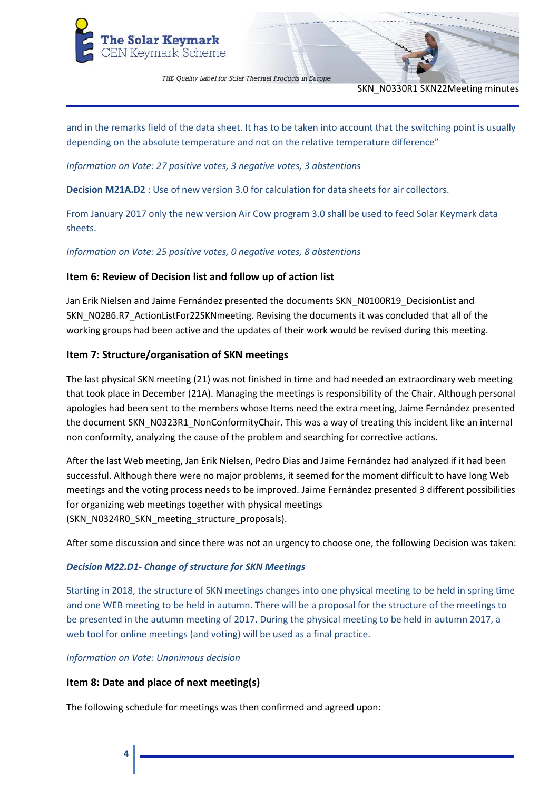

SKN\_N0330R1 SKN22Meeting minutes

and in the remarks field of the data sheet. It has to be taken into account that the switching point is usually depending on the absolute temperature and not on the relative temperature difference"

*Information on Vote: 27 positive votes, 3 negative votes, 3 abstentions*

**Decision M21A.D2** : Use of new version 3.0 for calculation for data sheets for air collectors.

From January 2017 only the new version Air Cow program 3.0 shall be used to feed Solar Keymark data sheets.

*Information on Vote: 25 positive votes, 0 negative votes, 8 abstentions*

# **Item 6: Review of Decision list and follow up of action list**

Jan Erik Nielsen and Jaime Fernández presented the documents SKN\_N0100R19\_DecisionList and SKN\_N0286.R7\_ActionListFor22SKNmeeting. Revising the documents it was concluded that all of the working groups had been active and the updates of their work would be revised during this meeting.

# **Item 7: Structure/organisation of SKN meetings**

The last physical SKN meeting (21) was not finished in time and had needed an extraordinary web meeting that took place in December (21A). Managing the meetings is responsibility of the Chair. Although personal apologies had been sent to the members whose Items need the extra meeting, Jaime Fernández presented the document SKN\_N0323R1\_NonConformityChair. This was a way of treating this incident like an internal non conformity, analyzing the cause of the problem and searching for corrective actions.

After the last Web meeting, Jan Erik Nielsen, Pedro Dias and Jaime Fernández had analyzed if it had been successful. Although there were no major problems, it seemed for the moment difficult to have long Web meetings and the voting process needs to be improved. Jaime Fernández presented 3 different possibilities for organizing web meetings together with physical meetings (SKN\_N0324R0\_SKN\_meeting\_structure\_proposals).

After some discussion and since there was not an urgency to choose one, the following Decision was taken:

## *Decision M22.D1- Change of structure for SKN Meetings*

Starting in 2018, the structure of SKN meetings changes into one physical meeting to be held in spring time and one WEB meeting to be held in autumn. There will be a proposal for the structure of the meetings to be presented in the autumn meeting of 2017. During the physical meeting to be held in autumn 2017, a web tool for online meetings (and voting) will be used as a final practice.

## *Information on Vote: Unanimous decision*

# **Item 8: Date and place of next meeting(s)**

The following schedule for meetings was then confirmed and agreed upon: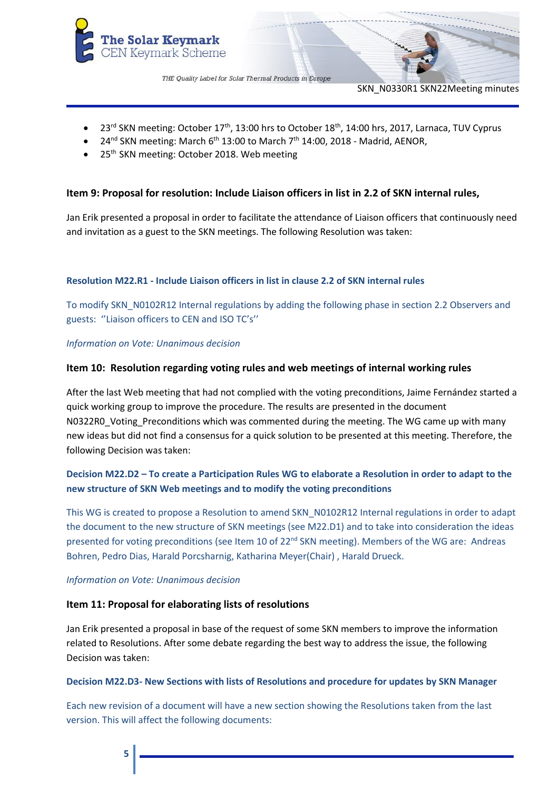

SKN\_N0330R1 SKN22Meeting minutes

- 23<sup>rd</sup> SKN meeting: October 17<sup>th</sup>, 13:00 hrs to October 18<sup>th</sup>, 14:00 hrs, 2017, Larnaca, TUV Cyprus
- 24<sup>nd</sup> SKN meeting: March 6<sup>th</sup> 13:00 to March 7<sup>th</sup> 14:00, 2018 Madrid, AENOR,
- 25<sup>th</sup> SKN meeting: October 2018. Web meeting

# **Item 9: Proposal for resolution: Include Liaison officers in list in 2.2 of SKN internal rules,**

Jan Erik presented a proposal in order to facilitate the attendance of Liaison officers that continuously need and invitation as a guest to the SKN meetings. The following Resolution was taken:

## **Resolution M22.R1 - Include Liaison officers in list in clause 2.2 of SKN internal rules**

To modify SKN\_N0102R12 Internal regulations by adding the following phase in section 2.2 Observers and guests: ''Liaison officers to CEN and ISO TC's''

*Information on Vote: Unanimous decision*

## **Item 10: Resolution regarding voting rules and web meetings of internal working rules**

After the last Web meeting that had not complied with the voting preconditions, Jaime Fernández started a quick working group to improve the procedure. The results are presented in the document N0322R0\_Voting\_Preconditions which was commented during the meeting. The WG came up with many new ideas but did not find a consensus for a quick solution to be presented at this meeting. Therefore, the following Decision was taken:

# **Decision M22.D2 – To create a Participation Rules WG to elaborate a Resolution in order to adapt to the new structure of SKN Web meetings and to modify the voting preconditions**

This WG is created to propose a Resolution to amend SKN\_N0102R12 Internal regulations in order to adapt the document to the new structure of SKN meetings (see M22.D1) and to take into consideration the ideas presented for voting preconditions (see Item 10 of 22<sup>nd</sup> SKN meeting). Members of the WG are: Andreas Bohren, Pedro Dias, Harald Porcsharnig, Katharina Meyer(Chair) , Harald Drueck.

#### *Information on Vote: Unanimous decision*

## **Item 11: Proposal for elaborating lists of resolutions**

Jan Erik presented a proposal in base of the request of some SKN members to improve the information related to Resolutions. After some debate regarding the best way to address the issue, the following Decision was taken:

## **Decision M22.D3- New Sections with lists of Resolutions and procedure for updates by SKN Manager**

Each new revision of a document will have a new section showing the Resolutions taken from the last version. This will affect the following documents: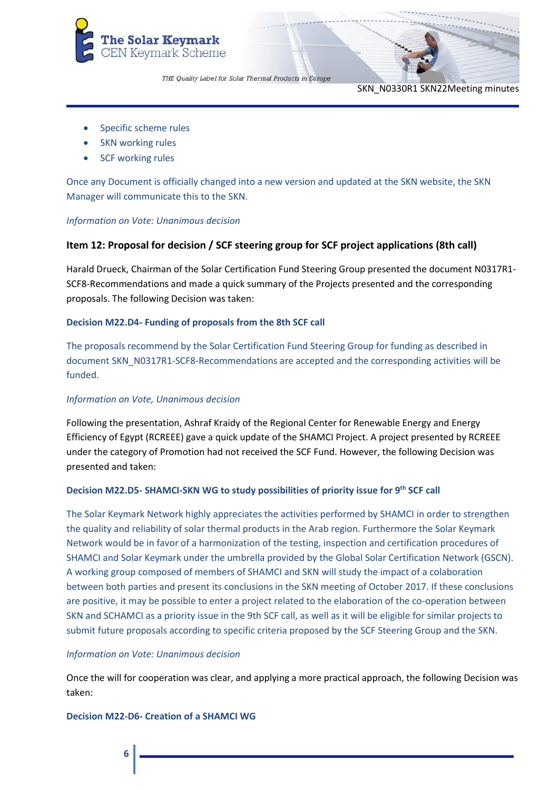

SKN\_N0330R1 SKN22Meeting minutes

- Specific scheme rules
- SKN working rules
- SCF working rules

Once any Document is officially changed into a new version and updated at the SKN website, the SKN Manager will communicate this to the SKN.

#### *Information on Vote: Unanimous decision*

# **Item 12: Proposal for decision / SCF steering group for SCF project applications (8th call)**

Harald Drueck, Chairman of the Solar Certification Fund Steering Group presented the document N0317R1- SCF8-Recommendations and made a quick summary of the Projects presented and the corresponding proposals. The following Decision was taken:

## **Decision M22.D4- Funding of proposals from the 8th SCF call**

The proposals recommend by the Solar Certification Fund Steering Group for funding as described in document SKN\_N0317R1-SCF8-Recommendations are accepted and the corresponding activities will be funded.

#### *Information on Vote, Unanimous decision*

Following the presentation, Ashraf Kraidy of the Regional Center for Renewable Energy and Energy Efficiency of Egypt (RCREEE) gave a quick update of the SHAMCI Project. A project presented by RCREEE under the category of Promotion had not received the SCF Fund. However, the following Decision was presented and taken:

## **Decision M22.D5- SHAMCI-SKN WG to study possibilities of priority issue for 9th SCF call**

The Solar Keymark Network highly appreciates the activities performed by SHAMCI in order to strengthen the quality and reliability of solar thermal products in the Arab region. Furthermore the Solar Keymark Network would be in favor of a harmonization of the testing, inspection and certification procedures of SHAMCI and Solar Keymark under the umbrella provided by the Global Solar Certification Network (GSCN). A working group composed of members of SHAMCI and SKN will study the impact of a colaboration between both parties and present its conclusions in the SKN meeting of October 2017. If these conclusions are positive, it may be possible to enter a project related to the elaboration of the co-operation between SKN and SCHAMCI as a priority issue in the 9th SCF call, as well as it will be eligible for similar projects to submit future proposals according to specific criteria proposed by the SCF Steering Group and the SKN.

#### *Information on Vote: Unanimous decision*

Once the will for cooperation was clear, and applying a more practical approach, the following Decision was taken:

#### **Decision M22-D6- Creation of a SHAMCI WG**

# **6**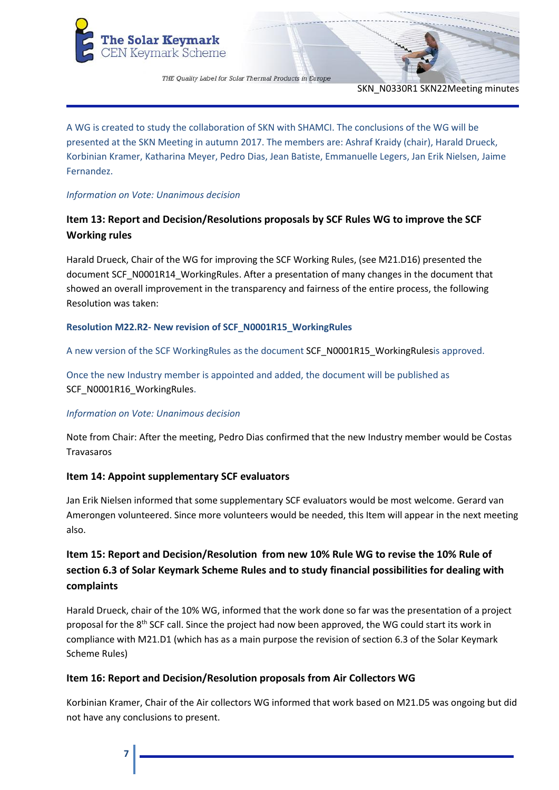

SKN\_N0330R1 SKN22Meeting minutes

A WG is created to study the collaboration of SKN with SHAMCI. The conclusions of the WG will be presented at the SKN Meeting in autumn 2017. The members are: Ashraf Kraidy (chair), Harald Drueck, Korbinian Kramer, Katharina Meyer, Pedro Dias, Jean Batiste, Emmanuelle Legers, Jan Erik Nielsen, Jaime Fernandez.

# *Information on Vote: Unanimous decision*

# **Item 13: Report and Decision/Resolutions proposals by SCF Rules WG to improve the SCF Working rules**

Harald Drueck, Chair of the WG for improving the SCF Working Rules, (see M21.D16) presented the document SCF\_N0001R14\_WorkingRules. After a presentation of many changes in the document that showed an overall improvement in the transparency and fairness of the entire process, the following Resolution was taken:

# **Resolution M22.R2- New revision of SCF\_N0001R15\_WorkingRules**

A new version of the SCF WorkingRules as the document SCF\_N0001R15\_WorkingRulesis approved.

Once the new Industry member is appointed and added, the document will be published as SCF\_N0001R16\_WorkingRules.

## *Information on Vote: Unanimous decision*

Note from Chair: After the meeting, Pedro Dias confirmed that the new Industry member would be Costas Travasaros

# **Item 14: Appoint supplementary SCF evaluators**

Jan Erik Nielsen informed that some supplementary SCF evaluators would be most welcome. Gerard van Amerongen volunteered. Since more volunteers would be needed, this Item will appear in the next meeting also.

# **Item 15: Report and Decision/Resolution from new 10% Rule WG to revise the 10% Rule of section 6.3 of Solar Keymark Scheme Rules and to study financial possibilities for dealing with complaints**

Harald Drueck, chair of the 10% WG, informed that the work done so far was the presentation of a project proposal for the 8<sup>th</sup> SCF call. Since the project had now been approved, the WG could start its work in compliance with M21.D1 (which has as a main purpose the revision of section 6.3 of the Solar Keymark Scheme Rules)

# **Item 16: Report and Decision/Resolution proposals from Air Collectors WG**

Korbinian Kramer, Chair of the Air collectors WG informed that work based on M21.D5 was ongoing but did not have any conclusions to present.

**7**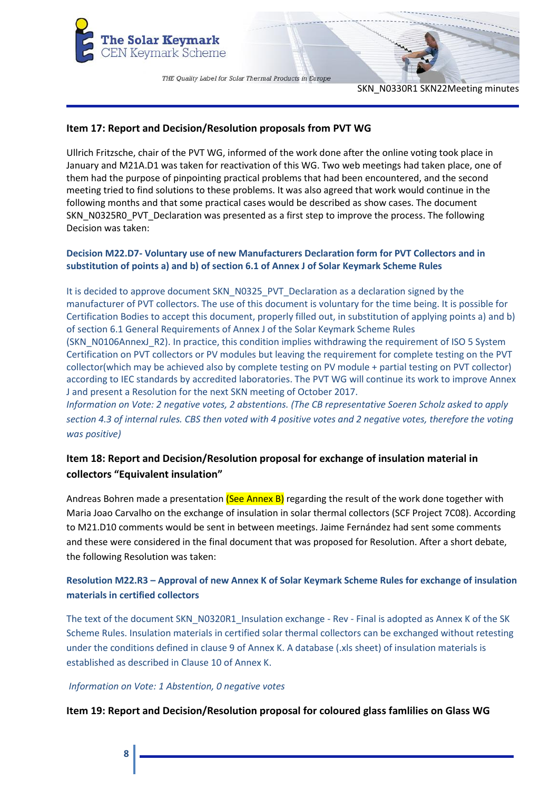

SKN\_N0330R1 SKN22Meeting minutes

## **Item 17: Report and Decision/Resolution proposals from PVT WG**

Ullrich Fritzsche, chair of the PVT WG, informed of the work done after the online voting took place in January and M21A.D1 was taken for reactivation of this WG. Two web meetings had taken place, one of them had the purpose of pinpointing practical problems that had been encountered, and the second meeting tried to find solutions to these problems. It was also agreed that work would continue in the following months and that some practical cases would be described as show cases. The document SKN\_N0325R0\_PVT\_Declaration was presented as a first step to improve the process. The following Decision was taken:

# **Decision M22.D7- Voluntary use of new Manufacturers Declaration form for PVT Collectors and in substitution of points a) and b) of section 6.1 of Annex J of Solar Keymark Scheme Rules**

It is decided to approve document SKN\_N0325\_PVT\_Declaration as a declaration signed by the manufacturer of PVT collectors. The use of this document is voluntary for the time being. It is possible for Certification Bodies to accept this document, properly filled out, in substitution of applying points a) and b) of section 6.1 General Requirements of Annex J of the Solar Keymark Scheme Rules (SKN\_N0106AnnexJ\_R2). In practice, this condition implies withdrawing the requirement of ISO 5 System Certification on PVT collectors or PV modules but leaving the requirement for complete testing on the PVT collector(which may be achieved also by complete testing on PV module + partial testing on PVT collector) according to IEC standards by accredited laboratories. The PVT WG will continue its work to improve Annex J and present a Resolution for the next SKN meeting of October 2017. *Information on Vote: 2 negative votes, 2 abstentions. (The CB representative Soeren Scholz asked to apply* 

*section 4.3 of internal rules. CBS then voted with 4 positive votes and 2 negative votes, therefore the voting was positive)*

# **Item 18: Report and Decision/Resolution proposal for exchange of insulation material in collectors "Equivalent insulation"**

Andreas Bohren made a presentation (See Annex B) regarding the result of the work done together with Maria Joao Carvalho on the exchange of insulation in solar thermal collectors (SCF Project 7C08). According to M21.D10 comments would be sent in between meetings. Jaime Fernández had sent some comments and these were considered in the final document that was proposed for Resolution. After a short debate, the following Resolution was taken:

# **Resolution M22.R3 – Approval of new Annex K of Solar Keymark Scheme Rules for exchange of insulation materials in certified collectors**

The text of the document SKN\_N0320R1\_Insulation exchange - Rev - Final is adopted as Annex K of the SK Scheme Rules. Insulation materials in certified solar thermal collectors can be exchanged without retesting under the conditions defined in clause 9 of Annex K. A database (.xls sheet) of insulation materials is established as described in Clause 10 of Annex K.

## *Information on Vote: 1 Abstention, 0 negative votes*

**Item 19: Report and Decision/Resolution proposal for coloured glass famlilies on Glass WG**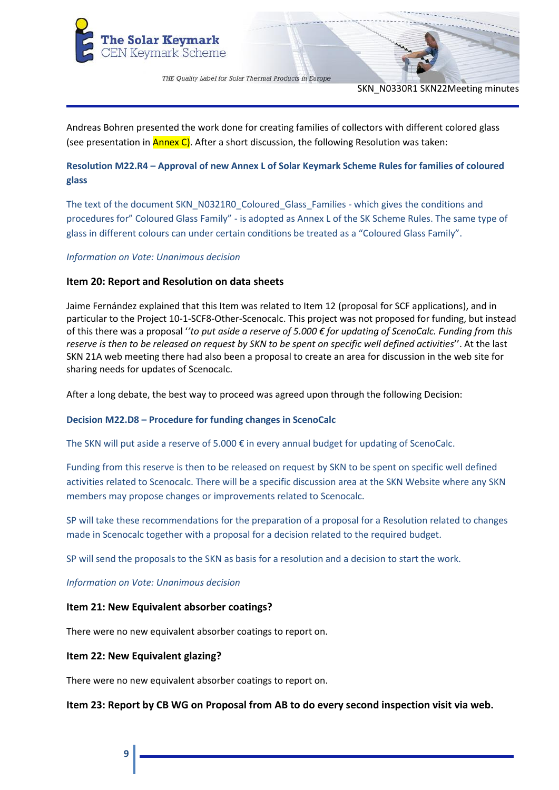

SKN\_N0330R1 SKN22Meeting minutes

Andreas Bohren presented the work done for creating families of collectors with different colored glass (see presentation in  $\frac{\text{Annex C}}{\text{O}}$ . After a short discussion, the following Resolution was taken:

# **Resolution M22.R4 – Approval of new Annex L of Solar Keymark Scheme Rules for families of coloured glass**

The text of the document SKN\_N0321R0\_Coloured\_Glass\_Families - which gives the conditions and procedures for" Coloured Glass Family" - is adopted as Annex L of the SK Scheme Rules. The same type of glass in different colours can under certain conditions be treated as a "Coloured Glass Family".

## *Information on Vote: Unanimous decision*

# **Item 20: Report and Resolution on data sheets**

Jaime Fernández explained that this Item was related to Item 12 (proposal for SCF applications), and in particular to the Project 10-1-SCF8-Other-Scenocalc. This project was not proposed for funding, but instead of this there was a proposal '*'to put aside a reserve of 5.000 € for updating of ScenoCalc. Funding from this reserve is then to be released on request by SKN to be spent on specific well defined activities*''. At the last SKN 21A web meeting there had also been a proposal to create an area for discussion in the web site for sharing needs for updates of Scenocalc.

After a long debate, the best way to proceed was agreed upon through the following Decision:

## **Decision M22.D8 – Procedure for funding changes in ScenoCalc**

The SKN will put aside a reserve of 5.000 € in every annual budget for updating of ScenoCalc.

Funding from this reserve is then to be released on request by SKN to be spent on specific well defined activities related to Scenocalc. There will be a specific discussion area at the SKN Website where any SKN members may propose changes or improvements related to Scenocalc.

SP will take these recommendations for the preparation of a proposal for a Resolution related to changes made in Scenocalc together with a proposal for a decision related to the required budget.

SP will send the proposals to the SKN as basis for a resolution and a decision to start the work.

*Information on Vote: Unanimous decision*

## **Item 21: New Equivalent absorber coatings?**

There were no new equivalent absorber coatings to report on.

## **Item 22: New Equivalent glazing?**

There were no new equivalent absorber coatings to report on.

**Item 23: Report by CB WG on Proposal from AB to do every second inspection visit via web.**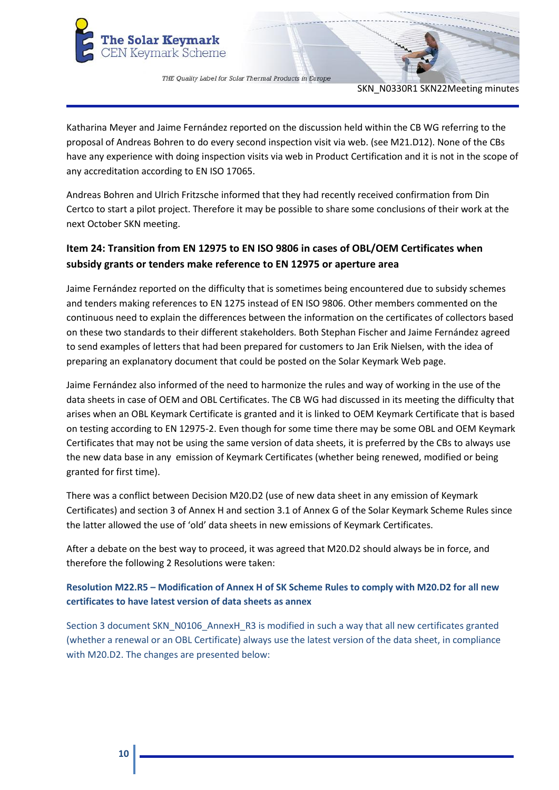

SKN\_N0330R1 SKN22Meeting minutes

Katharina Meyer and Jaime Fernández reported on the discussion held within the CB WG referring to the proposal of Andreas Bohren to do every second inspection visit via web. (see M21.D12). None of the CBs have any experience with doing inspection visits via web in Product Certification and it is not in the scope of any accreditation according to EN ISO 17065.

Andreas Bohren and Ulrich Fritzsche informed that they had recently received confirmation from Din Certco to start a pilot project. Therefore it may be possible to share some conclusions of their work at the next October SKN meeting.

# **Item 24: Transition from EN 12975 to EN ISO 9806 in cases of OBL/OEM Certificates when subsidy grants or tenders make reference to EN 12975 or aperture area**

Jaime Fernández reported on the difficulty that is sometimes being encountered due to subsidy schemes and tenders making references to EN 1275 instead of EN ISO 9806. Other members commented on the continuous need to explain the differences between the information on the certificates of collectors based on these two standards to their different stakeholders. Both Stephan Fischer and Jaime Fernández agreed to send examples of letters that had been prepared for customers to Jan Erik Nielsen, with the idea of preparing an explanatory document that could be posted on the Solar Keymark Web page.

Jaime Fernández also informed of the need to harmonize the rules and way of working in the use of the data sheets in case of OEM and OBL Certificates. The CB WG had discussed in its meeting the difficulty that arises when an OBL Keymark Certificate is granted and it is linked to OEM Keymark Certificate that is based on testing according to EN 12975-2. Even though for some time there may be some OBL and OEM Keymark Certificates that may not be using the same version of data sheets, it is preferred by the CBs to always use the new data base in any emission of Keymark Certificates (whether being renewed, modified or being granted for first time).

There was a conflict between Decision M20.D2 (use of new data sheet in any emission of Keymark Certificates) and section 3 of Annex H and section 3.1 of Annex G of the Solar Keymark Scheme Rules since the latter allowed the use of 'old' data sheets in new emissions of Keymark Certificates.

After a debate on the best way to proceed, it was agreed that M20.D2 should always be in force, and therefore the following 2 Resolutions were taken:

# **Resolution M22.R5 – Modification of Annex H of SK Scheme Rules to comply with M20.D2 for all new certificates to have latest version of data sheets as annex**

Section 3 document SKN\_N0106\_AnnexH\_R3 is modified in such a way that all new certificates granted (whether a renewal or an OBL Certificate) always use the latest version of the data sheet, in compliance with M20.D2. The changes are presented below: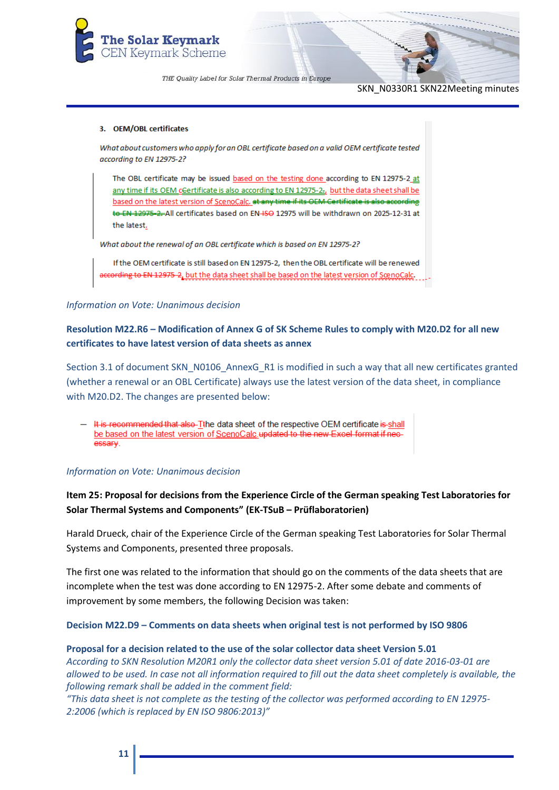

SKN\_N0330R1 SKN22Meeting minutes

#### 3. OEM/OBL certificates

What about customers who apply for an OBL certificate based on a valid OEM certificate tested according to EN 12975-2?

The OBL certificate may be issued based on the testing done according to EN 12975-2\_at any time if its OEM cGertificate is also according to EN 12975-22, but the data sheet shall be based on the latest version of ScenoCalc. at any time if its OEM Certificate is also according to EN 12975-2-All certificates based on EN-ISO 12975 will be withdrawn on 2025-12-31 at the latest.

What about the renewal of an OBL certificate which is based on EN 12975-2?

If the OEM certificate is still based on EN 12975-2, then the OBL certificate will be renewed according to EN 12975-2, but the data sheet shall be based on the latest version of ScenoCalc.

#### *Information on Vote: Unanimous decision*

# **Resolution M22.R6 – Modification of Annex G of SK Scheme Rules to comply with M20.D2 for all new certificates to have latest version of data sheets as annex**

Section 3.1 of document SKN\_N0106\_AnnexG\_R1 is modified in such a way that all new certificates granted (whether a renewal or an OBL Certificate) always use the latest version of the data sheet, in compliance with M20.D2. The changes are presented below:

It is recommended that also-Tthe data sheet of the respective OEM certificate is-shall be based on the latest version of ScenoCalc updated to the new Excel format if necessary.

#### *Information on Vote: Unanimous decision*

# **Item 25: Proposal for decisions from the Experience Circle of the German speaking Test Laboratories for Solar Thermal Systems and Components" (EK-TSuB – Prüflaboratorien)**

Harald Drueck, chair of the Experience Circle of the German speaking Test Laboratories for Solar Thermal Systems and Components, presented three proposals.

The first one was related to the information that should go on the comments of the data sheets that are incomplete when the test was done according to EN 12975-2. After some debate and comments of improvement by some members, the following Decision was taken:

#### **Decision M22.D9 – Comments on data sheets when original test is not performed by ISO 9806**

#### **Proposal for a decision related to the use of the solar collector data sheet Version 5.01**

*According to SKN Resolution M20R1 only the collector data sheet version 5.01 of date 2016-03-01 are allowed to be used. In case not all information required to fill out the data sheet completely is available, the following remark shall be added in the comment field:*

*"This data sheet is not complete as the testing of the collector was performed according to EN 12975- 2:2006 (which is replaced by EN ISO 9806:2013)"*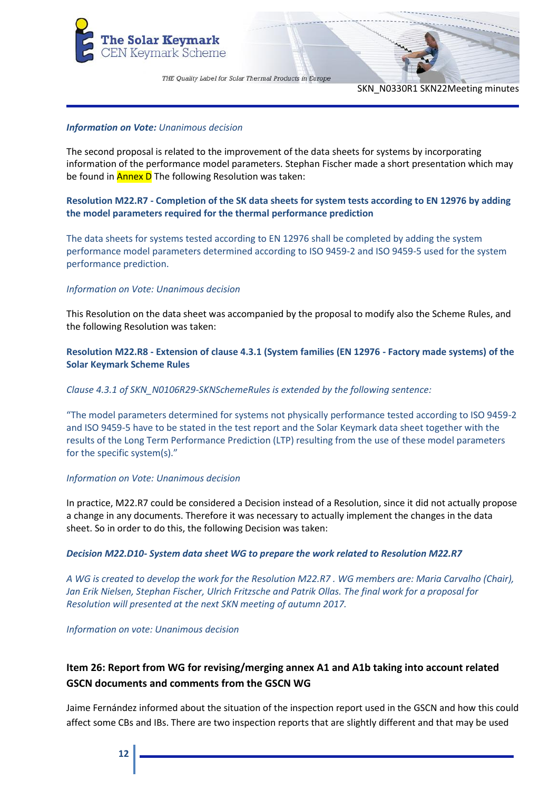

SKN\_N0330R1 SKN22Meeting minutes

#### *Information on Vote: Unanimous decision*

The second proposal is related to the improvement of the data sheets for systems by incorporating information of the performance model parameters. Stephan Fischer made a short presentation which may be found in **Annex D** The following Resolution was taken:

# **Resolution M22.R7 - Completion of the SK data sheets for system tests according to EN 12976 by adding the model parameters required for the thermal performance prediction**

The data sheets for systems tested according to EN 12976 shall be completed by adding the system performance model parameters determined according to ISO 9459-2 and ISO 9459-5 used for the system performance prediction.

## *Information on Vote: Unanimous decision*

This Resolution on the data sheet was accompanied by the proposal to modify also the Scheme Rules, and the following Resolution was taken:

# **Resolution M22.R8 - Extension of clause 4.3.1 (System families (EN 12976 - Factory made systems) of the Solar Keymark Scheme Rules**

#### *Clause 4.3.1 of SKN\_N0106R29-SKNSchemeRules is extended by the following sentence:*

"The model parameters determined for systems not physically performance tested according to ISO 9459-2 and ISO 9459-5 have to be stated in the test report and the Solar Keymark data sheet together with the results of the Long Term Performance Prediction (LTP) resulting from the use of these model parameters for the specific system(s)."

#### *Information on Vote: Unanimous decision*

In practice, M22.R7 could be considered a Decision instead of a Resolution, since it did not actually propose a change in any documents. Therefore it was necessary to actually implement the changes in the data sheet. So in order to do this, the following Decision was taken:

#### *Decision M22.D10- System data sheet WG to prepare the work related to Resolution M22.R7*

*A WG is created to develop the work for the Resolution M22.R7 . WG members are: Maria Carvalho (Chair), Jan Erik Nielsen, Stephan Fischer, Ulrich Fritzsche and Patrik Ollas. The final work for a proposal for Resolution will presented at the next SKN meeting of autumn 2017.*

#### *Information on vote: Unanimous decision*

# **Item 26: Report from WG for revising/merging annex A1 and A1b taking into account related GSCN documents and comments from the GSCN WG**

Jaime Fernández informed about the situation of the inspection report used in the GSCN and how this could affect some CBs and IBs. There are two inspection reports that are slightly different and that may be used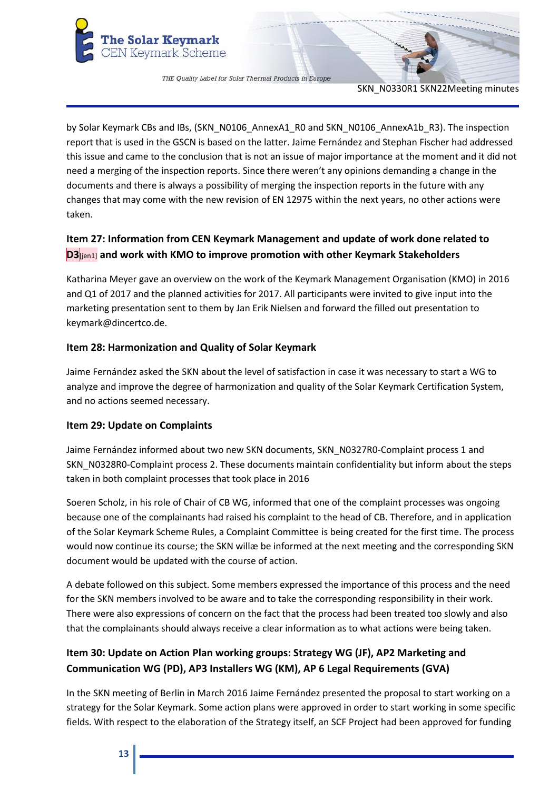

SKN\_N0330R1 SKN22Meeting minutes

by Solar Keymark CBs and IBs, (SKN\_N0106\_AnnexA1\_R0 and SKN\_N0106\_AnnexA1b\_R3). The inspection report that is used in the GSCN is based on the latter. Jaime Fernández and Stephan Fischer had addressed this issue and came to the conclusion that is not an issue of major importance at the moment and it did not need a merging of the inspection reports. Since there weren't any opinions demanding a change in the documents and there is always a possibility of merging the inspection reports in the future with any changes that may come with the new revision of EN 12975 within the next years, no other actions were taken.

# **Item 27: Information from CEN Keymark Management and update of work done related to D3**[jen1] **and work with KMO to improve promotion with other Keymark Stakeholders**

Katharina Meyer gave an overview on the work of the Keymark Management Organisation (KMO) in 2016 and Q1 of 2017 and the planned activities for 2017. All participants were invited to give input into the marketing presentation sent to them by Jan Erik Nielsen and forward the filled out presentation to keymark@dincertco.de.

# **Item 28: Harmonization and Quality of Solar Keymark**

Jaime Fernández asked the SKN about the level of satisfaction in case it was necessary to start a WG to analyze and improve the degree of harmonization and quality of the Solar Keymark Certification System, and no actions seemed necessary.

# **Item 29: Update on Complaints**

Jaime Fernández informed about two new SKN documents, SKN\_N0327R0-Complaint process 1 and SKN\_N0328R0-Complaint process 2. These documents maintain confidentiality but inform about the steps taken in both complaint processes that took place in 2016

Soeren Scholz, in his role of Chair of CB WG, informed that one of the complaint processes was ongoing because one of the complainants had raised his complaint to the head of CB. Therefore, and in application of the Solar Keymark Scheme Rules, a Complaint Committee is being created for the first time. The process would now continue its course; the SKN willæ be informed at the next meeting and the corresponding SKN document would be updated with the course of action.

A debate followed on this subject. Some members expressed the importance of this process and the need for the SKN members involved to be aware and to take the corresponding responsibility in their work. There were also expressions of concern on the fact that the process had been treated too slowly and also that the complainants should always receive a clear information as to what actions were being taken.

# **Item 30: Update on Action Plan working groups: Strategy WG (JF), AP2 Marketing and Communication WG (PD), AP3 Installers WG (KM), AP 6 Legal Requirements (GVA)**

In the SKN meeting of Berlin in March 2016 Jaime Fernández presented the proposal to start working on a strategy for the Solar Keymark. Some action plans were approved in order to start working in some specific fields. With respect to the elaboration of the Strategy itself, an SCF Project had been approved for funding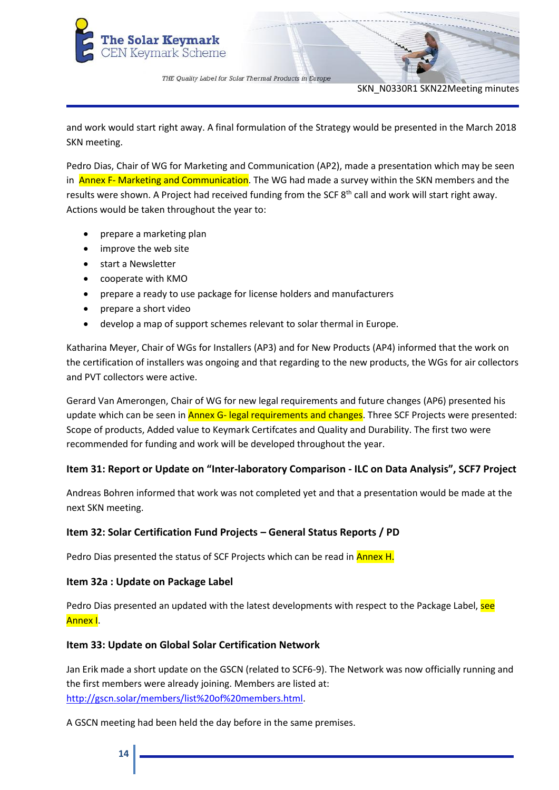

SKN\_N0330R1 SKN22Meeting minutes

and work would start right away. A final formulation of the Strategy would be presented in the March 2018 SKN meeting.

Pedro Dias, Chair of WG for Marketing and Communication (AP2), made a presentation which may be seen in **Annex F- Marketing and Communication**. The WG had made a survey within the SKN members and the results were shown. A Project had received funding from the SCF 8<sup>th</sup> call and work will start right away. Actions would be taken throughout the year to:

- prepare a marketing plan
- improve the web site
- start a Newsletter
- cooperate with KMO
- prepare a ready to use package for license holders and manufacturers
- prepare a short video
- develop a map of support schemes relevant to solar thermal in Europe.

Katharina Meyer, Chair of WGs for Installers (AP3) and for New Products (AP4) informed that the work on the certification of installers was ongoing and that regarding to the new products, the WGs for air collectors and PVT collectors were active.

Gerard Van Amerongen, Chair of WG for new legal requirements and future changes (AP6) presented his update which can be seen in **Annex G- legal requirements and changes**. Three SCF Projects were presented: Scope of products, Added value to Keymark Certifcates and Quality and Durability. The first two were recommended for funding and work will be developed throughout the year.

## **Item 31: Report or Update on "Inter-laboratory Comparison - ILC on Data Analysis", SCF7 Project**

Andreas Bohren informed that work was not completed yet and that a presentation would be made at the next SKN meeting.

## **Item 32: Solar Certification Fund Projects – General Status Reports / PD**

Pedro Dias presented the status of SCF Projects which can be read in **Annex H.** 

## **Item 32a : Update on Package Label**

Pedro Dias presented an updated with the latest developments with respect to the Package Label, see Annex I.

## **Item 33: Update on Global Solar Certification Network**

Jan Erik made a short update on the GSCN (related to SCF6-9). The Network was now officially running and the first members were already joining. Members are listed at: [http://gscn.solar/members/list%20of%20members.html.](http://gscn.solar/members/list%20of%20members.html)

A GSCN meeting had been held the day before in the same premises.